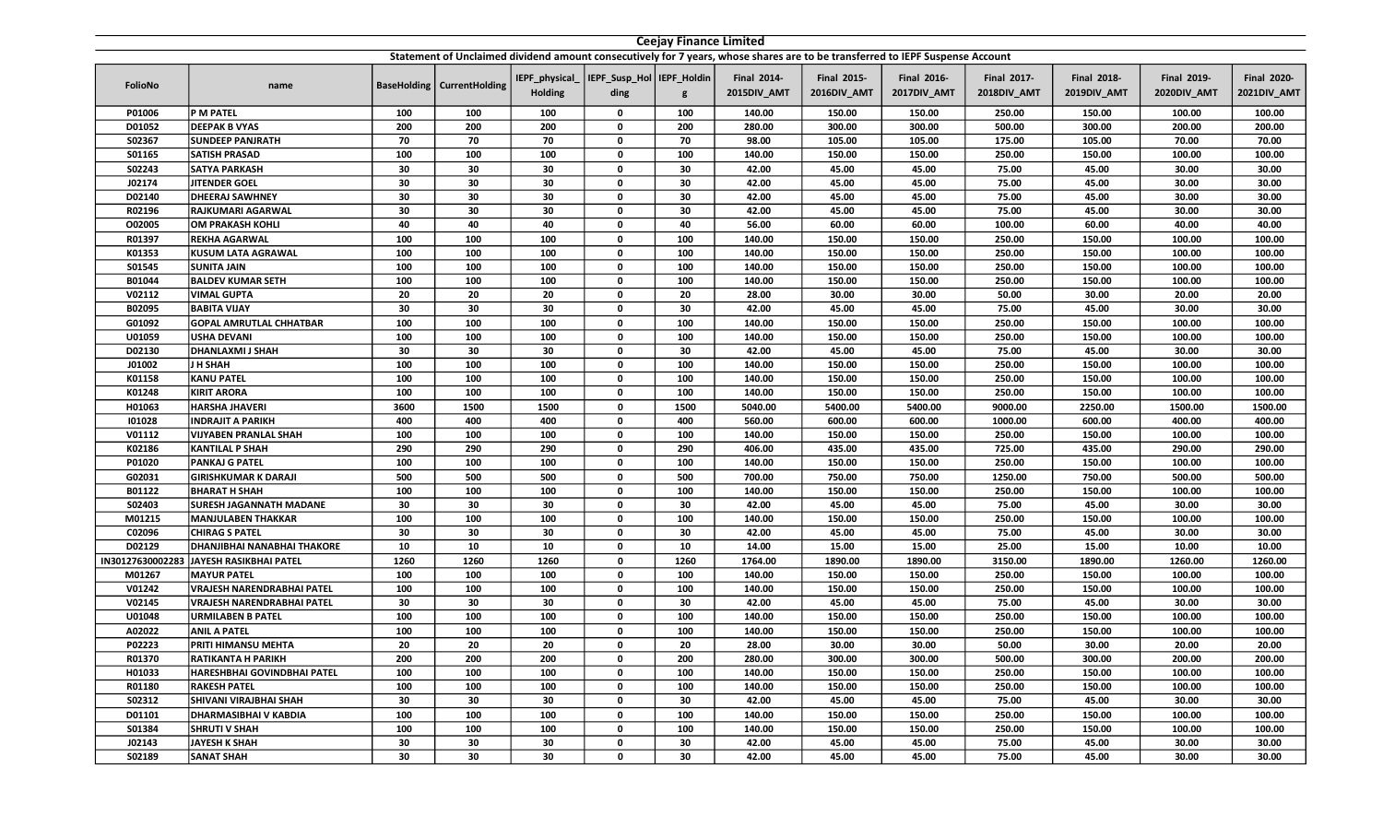| <b>Ceejay Finance Limited</b>                                                                                                 |                                         |      |                                     |                |                             |      |                    |                    |                    |                    |                    |                    |                    |
|-------------------------------------------------------------------------------------------------------------------------------|-----------------------------------------|------|-------------------------------------|----------------|-----------------------------|------|--------------------|--------------------|--------------------|--------------------|--------------------|--------------------|--------------------|
| Statement of Unclaimed dividend amount consecutively for 7 years, whose shares are to be transferred to IEPF Suspense Account |                                         |      |                                     |                |                             |      |                    |                    |                    |                    |                    |                    |                    |
|                                                                                                                               |                                         |      |                                     |                | IEPF_Susp_Hol   IEPF_Holdin |      |                    | <b>Final 2015-</b> | <b>Final 2016-</b> | <b>Final 2017-</b> | <b>Final 2018-</b> | <b>Final 2019-</b> | <b>Final 2020-</b> |
| <b>FolioNo</b>                                                                                                                | name                                    |      | <b>BaseHolding   CurrentHolding</b> | IEPF_physical  |                             |      | <b>Final 2014-</b> |                    |                    |                    |                    |                    |                    |
|                                                                                                                               |                                         |      |                                     | <b>Holding</b> | ding                        | g    | 2015DIV_AMT        | 2016DIV_AMT        | 2017DIV_AMT        | 2018DIV_AMT        | 2019DIV_AMT        | 2020DIV_AMT        | 2021DIV_AMT        |
| P01006                                                                                                                        | P M PATEL                               | 100  | 100                                 | 100            | 0                           | 100  | 140.00             | 150.00             | 150.00             | 250.00             | 150.00             | 100.00             | 100.00             |
| D01052                                                                                                                        | <b>DEEPAK B VYAS</b>                    | 200  | 200                                 | 200            | $\mathbf 0$                 | 200  | 280.00             | 300.00             | 300.00             | 500.00             | 300.00             | 200.00             | 200.00             |
| S02367                                                                                                                        | <b>SUNDEEP PANJRATH</b>                 | 70   | 70                                  | 70             | $\mathbf 0$                 | 70   | 98.00              | 105.00             | 105.00             | 175.00             | 105.00             | 70.00              | 70.00              |
| S01165                                                                                                                        | <b>SATISH PRASAD</b>                    | 100  | 100                                 | 100            | $\bf{0}$                    | 100  | 140.00             | 150.00             | 150.00             | 250.00             | 150.00             | 100.00             | 100.00             |
| S02243                                                                                                                        | <b>SATYA PARKASH</b>                    | 30   | 30                                  | 30             | $\mathbf 0$                 | 30   | 42.00              | 45.00              | 45.00              | 75.00              | 45.00              | 30.00              | 30.00              |
| J02174                                                                                                                        | <b>JITENDER GOEL</b>                    | 30   | 30                                  | 30             | $\mathbf 0$                 | 30   | 42.00              | 45.00              | 45.00              | 75.00              | 45.00              | 30.00              | 30.00              |
| D02140                                                                                                                        | <b>DHEERAJ SAWHNEY</b>                  | 30   | 30                                  | 30             | 0                           | 30   | 42.00              | 45.00              | 45.00              | 75.00              | 45.00              | 30.00              | 30.00              |
| R02196                                                                                                                        | RAJKUMARI AGARWAL                       | 30   | 30                                  | 30             | $\mathbf 0$                 | 30   | 42.00              | 45.00              | 45.00              | 75.00              | 45.00              | 30.00              | 30.00              |
| 002005                                                                                                                        | <b>OM PRAKASH KOHLI</b>                 | 40   | 40                                  | 40             | $\bf{0}$                    | 40   | 56.00              | 60.00              | 60.00              | 100.00             | 60.00              | 40.00              | 40.00              |
| R01397                                                                                                                        | <b>REKHA AGARWAL</b>                    | 100  | 100                                 | 100            | $\bf{0}$                    | 100  | 140.00             | 150.00             | 150.00             | 250.00             | 150.00             | 100.00             | 100.00             |
| K01353                                                                                                                        | <b>KUSUM LATA AGRAWAL</b>               | 100  | 100                                 | 100            | $\mathbf 0$                 | 100  | 140.00             | 150.00             | 150.00             | 250.00             | 150.00             | 100.00             | 100.00             |
| S01545                                                                                                                        | <b>SUNITA JAIN</b>                      | 100  | 100                                 | 100            | $\mathbf 0$                 | 100  | 140.00             | 150.00             | 150.00             | 250.00             | 150.00             | 100.00             | 100.00             |
| B01044                                                                                                                        | <b>BALDEV KUMAR SETH</b>                | 100  | 100                                 | 100            | $\mathbf 0$                 | 100  | 140.00             | 150.00             | 150.00             | 250.00             | 150.00             | 100.00             | 100.00             |
| V02112                                                                                                                        | <b>VIMAL GUPTA</b>                      | 20   | 20                                  | 20             | $\bf{0}$                    | 20   | 28.00              | 30.00              | 30.00              | 50.00              | 30.00              | 20.00              | 20.00              |
| B02095                                                                                                                        | <b>BABITA VIJAY</b>                     | 30   | 30                                  | 30             | $\mathbf 0$                 | 30   | 42.00              | 45.00              | 45.00              | 75.00              | 45.00              | 30.00              | 30.00              |
| G01092                                                                                                                        | <b>GOPAL AMRUTLAL CHHATBAR</b>          | 100  | 100                                 | 100            | $\mathbf 0$                 | 100  | 140.00             | 150.00             | 150.00             | 250.00             | 150.00             | 100.00             | 100.00             |
| U01059                                                                                                                        | <b>USHA DEVANI</b>                      | 100  | 100                                 | 100            | 0                           | 100  | 140.00             | 150.00             | 150.00             | 250.00             | 150.00             | 100.00             | 100.00             |
| D02130                                                                                                                        | <b>DHANLAXMI J SHAH</b>                 | 30   | 30                                  | 30             | $\mathbf 0$                 | 30   | 42.00              | 45.00              | 45.00              | 75.00              | 45.00              | 30.00              | 30.00              |
| J01002                                                                                                                        | J H SHAH                                | 100  | 100                                 | 100            | $\bf{0}$                    | 100  | 140.00             | 150.00             | 150.00             | 250.00             | 150.00             | 100.00             | 100.00             |
| K01158                                                                                                                        | <b>KANU PATEL</b>                       | 100  | 100                                 | 100            | 0                           | 100  | 140.00             | 150.00             | 150.00             | 250.00             | 150.00             | 100.00             | 100.00             |
| K01248                                                                                                                        | <b>KIRIT ARORA</b>                      | 100  | 100                                 | 100            | $\mathbf 0$                 | 100  | 140.00             | 150.00             | 150.00             | 250.00             | 150.00             | 100.00             | 100.00             |
| H01063                                                                                                                        | <b>HARSHA JHAVERI</b>                   | 3600 | 1500                                | 1500           | 0                           | 1500 | 5040.00            | 5400.00            | 5400.00            | 9000.00            | 2250.00            | 1500.00            | 1500.00            |
| 101028                                                                                                                        | <b>INDRAJIT A PARIKH</b>                | 400  | 400                                 | 400            | $\mathbf 0$                 | 400  | 560.00             | 600.00             | 600.00             | 1000.00            | 600.00             | 400.00             | 400.00             |
| V01112                                                                                                                        | <b>VIJYABEN PRANLAL SHAH</b>            | 100  | 100                                 | 100            | $\bf{0}$                    | 100  | 140.00             | 150.00             | 150.00             | 250.00             | 150.00             | 100.00             | 100.00             |
| K02186                                                                                                                        | <b>KANTILAL P SHAH</b>                  | 290  | 290                                 | 290            | $\mathbf 0$                 | 290  | 406.00             | 435.00             | 435.00             | 725.00             | 435.00             | 290.00             | 290.00             |
| P01020                                                                                                                        | <b>PANKAJ G PATEL</b>                   | 100  | 100                                 | 100            | $\mathbf 0$                 | 100  | 140.00             | 150.00             | 150.00             | 250.00             | 150.00             | 100.00             | 100.00             |
| G02031                                                                                                                        | <b>GIRISHKUMAR K DARAJI</b>             | 500  | 500                                 | 500            | 0                           | 500  | 700.00             | 750.00             | 750.00             | 1250.00            | 750.00             | 500.00             | 500.00             |
| B01122                                                                                                                        | <b>BHARAT H SHAH</b>                    | 100  | 100                                 | 100            | $\mathbf 0$                 | 100  | 140.00             | 150.00             | 150.00             | 250.00             | 150.00             | 100.00             | 100.00             |
| S02403                                                                                                                        | <b>SURESH JAGANNATH MADANE</b>          | 30   | 30                                  | 30             | $\bf{0}$                    | 30   | 42.00              | 45.00              | 45.00              | 75.00              | 45.00              | 30.00              | 30.00              |
| M01215                                                                                                                        | <b>MANJULABEN THAKKAR</b>               | 100  | 100                                 | 100            | $\mathbf 0$                 | 100  | 140.00             | 150.00             | 150.00             | 250.00             | 150.00             | 100.00             | 100.00             |
| C02096                                                                                                                        | <b>CHIRAG S PATEL</b>                   | 30   | 30                                  | 30             | $\mathbf 0$                 | 30   | 42.00              | 45.00              | 45.00              | 75.00              | 45.00              | 30.00              | 30.00              |
| D02129                                                                                                                        | DHANJIBHAI NANABHAI THAKORE             | 10   | 10                                  | 10             | $\mathbf 0$                 | 10   | 14.00              | 15.00              | 15.00              | 25.00              | 15.00              | 10.00              | 10.00              |
|                                                                                                                               | IN30127630002283 JAYESH RASIKBHAI PATEL | 1260 | 1260                                | 1260           | $\mathbf 0$                 | 1260 | 1764.00            | 1890.00            | 1890.00            | 3150.00            | 1890.00            | 1260.00            | 1260.00            |
| M01267                                                                                                                        | <b>MAYUR PATEL</b>                      | 100  | 100                                 | 100            | $\bf{0}$                    | 100  | 140.00             | 150.00             | 150.00             | 250.00             | 150.00             | 100.00             | 100.00             |
| V01242                                                                                                                        | <b>VRAJESH NARENDRABHAI PATEL</b>       | 100  | 100                                 | 100            | $\mathbf 0$                 | 100  | 140.00             | 150.00             | 150.00             | 250.00             | 150.00             | 100.00             | 100.00             |
| V02145                                                                                                                        | <b>VRAJESH NARENDRABHAI PATEL</b>       | 30   | 30                                  | 30             | $\mathbf 0$                 | 30   | 42.00              | 45.00              | 45.00              | 75.00              | 45.00              | 30.00              | 30.00              |
| U01048                                                                                                                        | <b>URMILABEN B PATEL</b>                | 100  | 100                                 | 100            | 0                           | 100  | 140.00             | 150.00             | 150.00             | 250.00             | 150.00             | 100.00             | 100.00             |
| A02022                                                                                                                        | <b>ANIL A PATEL</b>                     | 100  | 100                                 | 100            | $\mathbf 0$                 | 100  | 140.00             | 150.00             | 150.00             | 250.00             | 150.00             | 100.00             | 100.00             |
| P02223                                                                                                                        | PRITI HIMANSU MEHTA                     | 20   | 20                                  | 20             | $\mathbf 0$                 | 20   | 28.00              | 30.00              | 30.00              | 50.00              | 30.00              | 20.00              | 20.00              |
| R01370                                                                                                                        | RATIKANTA H PARIKH                      | 200  | 200                                 | 200            | 0                           | 200  | 280.00             | 300.00             | 300.00             | 500.00             | 300.00             | 200.00             | 200.00             |
| H01033                                                                                                                        | HARESHBHAI GOVINDBHAI PATEL             | 100  | 100                                 | 100            | $\mathbf 0$                 | 100  | 140.00             | 150.00             | 150.00             | 250.00             | 150.00             | 100.00             | 100.00             |
| R01180                                                                                                                        | <b>RAKESH PATEL</b>                     | 100  | 100                                 | 100            | 0                           | 100  | 140.00             | 150.00             | 150.00             | 250.00             | 150.00             | 100.00             | 100.00             |
| S02312                                                                                                                        | SHIVANI VIRAJBHAI SHAH                  | 30   | 30                                  | 30             | $\mathbf 0$                 | 30   | 42.00              | 45.00              | 45.00              | 75.00              | 45.00              | 30.00              | 30.00              |
| D01101                                                                                                                        | DHARMASIBHAI V KABDIA                   | 100  | 100                                 | 100            | 0                           | 100  | 140.00             | 150.00             | 150.00             | 250.00             | 150.00             | 100.00             | 100.00             |
| S01384                                                                                                                        | <b>SHRUTI V SHAH</b>                    | 100  | 100                                 | 100            | 0                           | 100  | 140.00             | 150.00             | 150.00             | 250.00             | 150.00             | 100.00             | 100.00             |
| J02143                                                                                                                        | <b>JAYESH K SHAH</b>                    | 30   | 30                                  | 30             | 0                           | 30   | 42.00              | 45.00              | 45.00              | 75.00              | 45.00              | 30.00              | 30.00              |
| S02189                                                                                                                        | <b>SANAT SHAH</b>                       | 30   | 30                                  | 30             | 0                           | 30   | 42.00              | 45.00              | 45.00              | 75.00              | 45.00              | 30.00              | 30.00              |